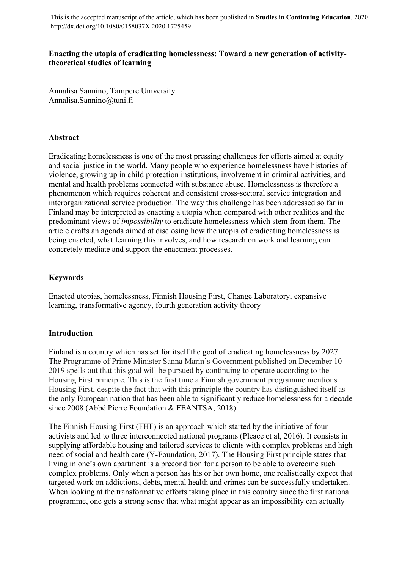This is the accepted manuscript of the article, which has been published in **Studies in Continuing Education**, 2020. http://dx.doi.org/10.1080/0158037X.2020.1725459

# **Enacting the utopia of eradicating homelessness: Toward a new generation of activitytheoretical studies of learning**

Annalisa Sannino, Tampere University Annalisa.Sannino@tuni.fi

# **Abstract**

Eradicating homelessness is one of the most pressing challenges for efforts aimed at equity and social justice in the world. Many people who experience homelessness have histories of violence, growing up in child protection institutions, involvement in criminal activities, and mental and health problems connected with substance abuse. Homelessness is therefore a phenomenon which requires coherent and consistent cross-sectoral service integration and interorganizational service production. The way this challenge has been addressed so far in Finland may be interpreted as enacting a utopia when compared with other realities and the predominant views of *impossibility* to eradicate homelessness which stem from them. The article drafts an agenda aimed at disclosing how the utopia of eradicating homelessness is being enacted, what learning this involves, and how research on work and learning can concretely mediate and support the enactment processes.

# **Keywords**

Enacted utopias, homelessness, Finnish Housing First, Change Laboratory, expansive learning, transformative agency, fourth generation activity theory

# **Introduction**

Finland is a country which has set for itself the goal of eradicating homelessness by 2027. The Programme of Prime Minister Sanna Marin's Government published on December 10 2019 spells out that this goal will be pursued by continuing to operate according to the Housing First principle. This is the first time a Finnish government programme mentions Housing First, despite the fact that with this principle the country has distinguished itself as the only European nation that has been able to significantly reduce homelessness for a decade since 2008 (Abbé Pierre Foundation & FEANTSA, 2018).

The Finnish Housing First (FHF) is an approach which started by the initiative of four activists and led to three interconnected national programs (Pleace et al, 2016). It consists in supplying affordable housing and tailored services to clients with complex problems and high need of social and health care (Y-Foundation, 2017). The Housing First principle states that living in one's own apartment is a precondition for a person to be able to overcome such complex problems. Only when a person has his or her own home, one realistically expect that targeted work on addictions, debts, mental health and crimes can be successfully undertaken. When looking at the transformative efforts taking place in this country since the first national programme, one gets a strong sense that what might appear as an impossibility can actually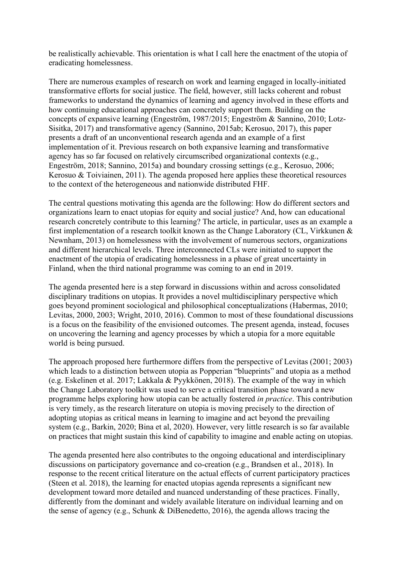be realistically achievable. This orientation is what I call here the enactment of the utopia of eradicating homelessness.

There are numerous examples of research on work and learning engaged in locally-initiated transformative efforts for social justice. The field, however, still lacks coherent and robust frameworks to understand the dynamics of learning and agency involved in these efforts and how continuing educational approaches can concretely support them. Building on the concepts of expansive learning (Engeström, 1987/2015; Engeström & Sannino, 2010; Lotz-Sisitka, 2017) and transformative agency (Sannino, 2015ab; Kerosuo, 2017), this paper presents a draft of an unconventional research agenda and an example of a first implementation of it. Previous research on both expansive learning and transformative agency has so far focused on relatively circumscribed organizational contexts (e.g., Engeström, 2018; Sannino, 2015a) and boundary crossing settings (e.g., Kerosuo, 2006; Kerosuo & Toiviainen, 2011). The agenda proposed here applies these theoretical resources to the context of the heterogeneous and nationwide distributed FHF.

The central questions motivating this agenda are the following: How do different sectors and organizations learn to enact utopias for equity and social justice? And, how can educational research concretely contribute to this learning? The article, in particular, uses as an example a first implementation of a research toolkit known as the Change Laboratory (CL, Virkkunen & Newnham, 2013) on homelessness with the involvement of numerous sectors, organizations and different hierarchical levels. Three interconnected CLs were initiated to support the enactment of the utopia of eradicating homelessness in a phase of great uncertainty in Finland, when the third national programme was coming to an end in 2019.

The agenda presented here is a step forward in discussions within and across consolidated disciplinary traditions on utopias. It provides a novel multidisciplinary perspective which goes beyond prominent sociological and philosophical conceptualizations (Habermas, 2010; Levitas, 2000, 2003; Wright, 2010, 2016). Common to most of these foundational discussions is a focus on the feasibility of the envisioned outcomes. The present agenda, instead, focuses on uncovering the learning and agency processes by which a utopia for a more equitable world is being pursued.

The approach proposed here furthermore differs from the perspective of Levitas (2001; 2003) which leads to a distinction between utopia as Popperian "blueprints" and utopia as a method (e.g. Eskelinen et al. 2017; Lakkala & Pyykkönen, 2018). The example of the way in which the Change Laboratory toolkit was used to serve a critical transition phase toward a new programme helps exploring how utopia can be actually fostered *in practice*. This contribution is very timely, as the research literature on utopia is moving precisely to the direction of adopting utopias as critical means in learning to imagine and act beyond the prevailing system (e.g., Barkin, 2020; Bina et al, 2020). However, very little research is so far available on practices that might sustain this kind of capability to imagine and enable acting on utopias.

The agenda presented here also contributes to the ongoing educational and interdisciplinary discussions on participatory governance and co-creation (e.g., Brandsen et al., 2018). In response to the recent critical literature on the actual effects of current participatory practices (Steen et al. 2018), the learning for enacted utopias agenda represents a significant new development toward more detailed and nuanced understanding of these practices. Finally, differently from the dominant and widely available literature on individual learning and on the sense of agency (e.g., Schunk & DiBenedetto, 2016), the agenda allows tracing the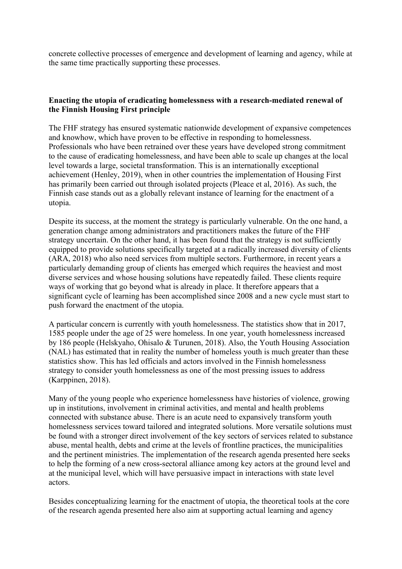concrete collective processes of emergence and development of learning and agency, while at the same time practically supporting these processes.

# **Enacting the utopia of eradicating homelessness with a research-mediated renewal of the Finnish Housing First principle**

The FHF strategy has ensured systematic nationwide development of expansive competences and knowhow, which have proven to be effective in responding to homelessness. Professionals who have been retrained over these years have developed strong commitment to the cause of eradicating homelessness, and have been able to scale up changes at the local level towards a large, societal transformation. This is an internationally exceptional achievement (Henley, 2019), when in other countries the implementation of Housing First has primarily been carried out through isolated projects (Pleace et al, 2016). As such, the Finnish case stands out as a globally relevant instance of learning for the enactment of a utopia.

Despite its success, at the moment the strategy is particularly vulnerable. On the one hand, a generation change among administrators and practitioners makes the future of the FHF strategy uncertain. On the other hand, it has been found that the strategy is not sufficiently equipped to provide solutions specifically targeted at a radically increased diversity of clients (ARA, 2018) who also need services from multiple sectors. Furthermore, in recent years a particularly demanding group of clients has emerged which requires the heaviest and most diverse services and whose housing solutions have repeatedly failed. These clients require ways of working that go beyond what is already in place. It therefore appears that a significant cycle of learning has been accomplished since 2008 and a new cycle must start to push forward the enactment of the utopia.

A particular concern is currently with youth homelessness. The statistics show that in 2017, 1585 people under the age of 25 were homeless. In one year, youth homelessness increased by 186 people (Helskyaho, Ohisalo & Turunen, 2018). Also, the Youth Housing Association (NAL) has estimated that in reality the number of homeless youth is much greater than these statistics show. This has led officials and actors involved in the Finnish homelessness strategy to consider youth homelessness as one of the most pressing issues to address (Karppinen, 2018).

Many of the young people who experience homelessness have histories of violence, growing up in institutions, involvement in criminal activities, and mental and health problems connected with substance abuse. There is an acute need to expansively transform youth homelessness services toward tailored and integrated solutions. More versatile solutions must be found with a stronger direct involvement of the key sectors of services related to substance abuse, mental health, debts and crime at the levels of frontline practices, the municipalities and the pertinent ministries. The implementation of the research agenda presented here seeks to help the forming of a new cross-sectoral alliance among key actors at the ground level and at the municipal level, which will have persuasive impact in interactions with state level actors.

Besides conceptualizing learning for the enactment of utopia, the theoretical tools at the core of the research agenda presented here also aim at supporting actual learning and agency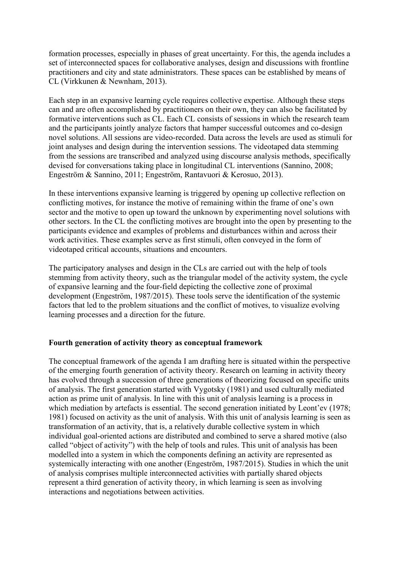formation processes, especially in phases of great uncertainty. For this, the agenda includes a set of interconnected spaces for collaborative analyses, design and discussions with frontline practitioners and city and state administrators. These spaces can be established by means of CL (Virkkunen & Newnham, 2013).

Each step in an expansive learning cycle requires collective expertise. Although these steps can and are often accomplished by practitioners on their own, they can also be facilitated by formative interventions such as CL. Each CL consists of sessions in which the research team and the participants jointly analyze factors that hamper successful outcomes and co-design novel solutions. All sessions are video-recorded. Data across the levels are used as stimuli for joint analyses and design during the intervention sessions. The videotaped data stemming from the sessions are transcribed and analyzed using discourse analysis methods, specifically devised for conversations taking place in longitudinal CL interventions (Sannino, 2008; Engeström & Sannino, 2011; Engeström, Rantavuori & Kerosuo, 2013).

In these interventions expansive learning is triggered by opening up collective reflection on conflicting motives, for instance the motive of remaining within the frame of one's own sector and the motive to open up toward the unknown by experimenting novel solutions with other sectors. In the CL the conflicting motives are brought into the open by presenting to the participants evidence and examples of problems and disturbances within and across their work activities. These examples serve as first stimuli, often conveyed in the form of videotaped critical accounts, situations and encounters.

The participatory analyses and design in the CLs are carried out with the help of tools stemming from activity theory, such as the triangular model of the activity system, the cycle of expansive learning and the four-field depicting the collective zone of proximal development (Engeström, 1987/2015). These tools serve the identification of the systemic factors that led to the problem situations and the conflict of motives, to visualize evolving learning processes and a direction for the future.

## **Fourth generation of activity theory as conceptual framework**

The conceptual framework of the agenda I am drafting here is situated within the perspective of the emerging fourth generation of activity theory. Research on learning in activity theory has evolved through a succession of three generations of theorizing focused on specific units of analysis. The first generation started with Vygotsky (1981) and used culturally mediated action as prime unit of analysis. In line with this unit of analysis learning is a process in which mediation by artefacts is essential. The second generation initiated by Leont'ev (1978; 1981) focused on activity as the unit of analysis. With this unit of analysis learning is seen as transformation of an activity, that is, a relatively durable collective system in which individual goal-oriented actions are distributed and combined to serve a shared motive (also called "object of activity") with the help of tools and rules. This unit of analysis has been modelled into a system in which the components defining an activity are represented as systemically interacting with one another (Engeström, 1987/2015). Studies in which the unit of analysis comprises multiple interconnected activities with partially shared objects represent a third generation of activity theory, in which learning is seen as involving interactions and negotiations between activities.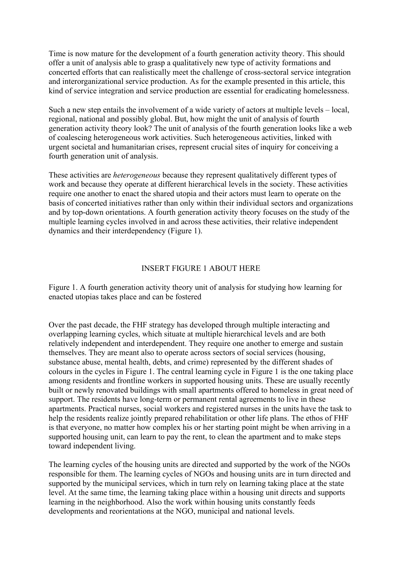Time is now mature for the development of a fourth generation activity theory. This should offer a unit of analysis able to grasp a qualitatively new type of activity formations and concerted efforts that can realistically meet the challenge of cross-sectoral service integration and interorganizational service production. As for the example presented in this article, this kind of service integration and service production are essential for eradicating homelessness.

Such a new step entails the involvement of a wide variety of actors at multiple levels – local, regional, national and possibly global. But, how might the unit of analysis of fourth generation activity theory look? The unit of analysis of the fourth generation looks like a web of coalescing heterogeneous work activities. Such heterogeneous activities, linked with urgent societal and humanitarian crises, represent crucial sites of inquiry for conceiving a fourth generation unit of analysis.

These activities are *heterogeneous* because they represent qualitatively different types of work and because they operate at different hierarchical levels in the society. These activities require one another to enact the shared utopia and their actors must learn to operate on the basis of concerted initiatives rather than only within their individual sectors and organizations and by top-down orientations. A fourth generation activity theory focuses on the study of the multiple learning cycles involved in and across these activities, their relative independent dynamics and their interdependency (Figure 1).

## INSERT FIGURE 1 ABOUT HERE

Figure 1. A fourth generation activity theory unit of analysis for studying how learning for enacted utopias takes place and can be fostered

Over the past decade, the FHF strategy has developed through multiple interacting and overlapping learning cycles, which situate at multiple hierarchical levels and are both relatively independent and interdependent. They require one another to emerge and sustain themselves. They are meant also to operate across sectors of social services (housing, substance abuse, mental health, debts, and crime) represented by the different shades of colours in the cycles in Figure 1. The central learning cycle in Figure 1 is the one taking place among residents and frontline workers in supported housing units. These are usually recently built or newly renovated buildings with small apartments offered to homeless in great need of support. The residents have long-term or permanent rental agreements to live in these apartments. Practical nurses, social workers and registered nurses in the units have the task to help the residents realize jointly prepared rehabilitation or other life plans. The ethos of FHF is that everyone, no matter how complex his or her starting point might be when arriving in a supported housing unit, can learn to pay the rent, to clean the apartment and to make steps toward independent living.

The learning cycles of the housing units are directed and supported by the work of the NGOs responsible for them. The learning cycles of NGOs and housing units are in turn directed and supported by the municipal services, which in turn rely on learning taking place at the state level. At the same time, the learning taking place within a housing unit directs and supports learning in the neighborhood. Also the work within housing units constantly feeds developments and reorientations at the NGO, municipal and national levels.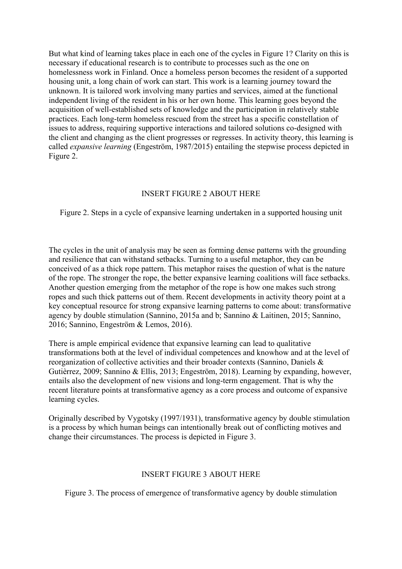But what kind of learning takes place in each one of the cycles in Figure 1? Clarity on this is necessary if educational research is to contribute to processes such as the one on homelessness work in Finland. Once a homeless person becomes the resident of a supported housing unit, a long chain of work can start. This work is a learning journey toward the unknown. It is tailored work involving many parties and services, aimed at the functional independent living of the resident in his or her own home. This learning goes beyond the acquisition of well-established sets of knowledge and the participation in relatively stable practices. Each long-term homeless rescued from the street has a specific constellation of issues to address, requiring supportive interactions and tailored solutions co-designed with the client and changing as the client progresses or regresses. In activity theory, this learning is called *expansive learning* (Engeström, 1987/2015) entailing the stepwise process depicted in Figure 2.

# INSERT FIGURE 2 ABOUT HERE

Figure 2. Steps in a cycle of expansive learning undertaken in a supported housing unit

The cycles in the unit of analysis may be seen as forming dense patterns with the grounding and resilience that can withstand setbacks. Turning to a useful metaphor, they can be conceived of as a thick rope pattern. This metaphor raises the question of what is the nature of the rope. The stronger the rope, the better expansive learning coalitions will face setbacks. Another question emerging from the metaphor of the rope is how one makes such strong ropes and such thick patterns out of them. Recent developments in activity theory point at a key conceptual resource for strong expansive learning patterns to come about: transformative agency by double stimulation (Sannino, 2015a and b; Sannino & Laitinen, 2015; Sannino, 2016; Sannino, Engeström & Lemos, 2016).

There is ample empirical evidence that expansive learning can lead to qualitative transformations both at the level of individual competences and knowhow and at the level of reorganization of collective activities and their broader contexts (Sannino, Daniels & Gutièrrez, 2009; Sannino & Ellis, 2013; Engeström, 2018). Learning by expanding, however, entails also the development of new visions and long-term engagement. That is why the recent literature points at transformative agency as a core process and outcome of expansive learning cycles.

Originally described by Vygotsky (1997/1931), transformative agency by double stimulation is a process by which human beings can intentionally break out of conflicting motives and change their circumstances. The process is depicted in Figure 3.

#### INSERT FIGURE 3 ABOUT HERE

Figure 3. The process of emergence of transformative agency by double stimulation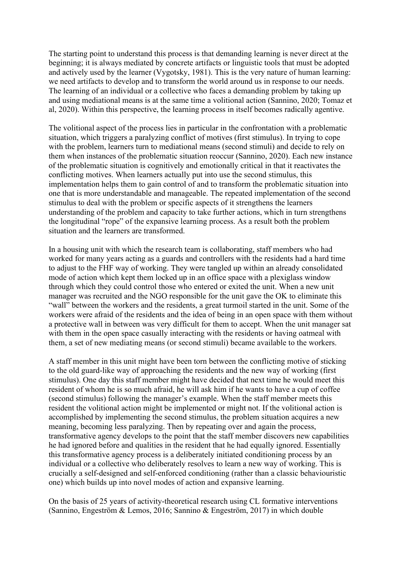The starting point to understand this process is that demanding learning is never direct at the beginning; it is always mediated by concrete artifacts or linguistic tools that must be adopted and actively used by the learner (Vygotsky, 1981). This is the very nature of human learning: we need artifacts to develop and to transform the world around us in response to our needs. The learning of an individual or a collective who faces a demanding problem by taking up and using mediational means is at the same time a volitional action (Sannino, 2020; Tomaz et al, 2020). Within this perspective, the learning process in itself becomes radically agentive.

The volitional aspect of the process lies in particular in the confrontation with a problematic situation, which triggers a paralyzing conflict of motives (first stimulus). In trying to cope with the problem, learners turn to mediational means (second stimuli) and decide to rely on them when instances of the problematic situation reoccur (Sannino, 2020). Each new instance of the problematic situation is cognitively and emotionally critical in that it reactivates the conflicting motives. When learners actually put into use the second stimulus, this implementation helps them to gain control of and to transform the problematic situation into one that is more understandable and manageable. The repeated implementation of the second stimulus to deal with the problem or specific aspects of it strengthens the learners understanding of the problem and capacity to take further actions, which in turn strengthens the longitudinal "rope" of the expansive learning process. As a result both the problem situation and the learners are transformed.

In a housing unit with which the research team is collaborating, staff members who had worked for many years acting as a guards and controllers with the residents had a hard time to adjust to the FHF way of working. They were tangled up within an already consolidated mode of action which kept them locked up in an office space with a plexiglass window through which they could control those who entered or exited the unit. When a new unit manager was recruited and the NGO responsible for the unit gave the OK to eliminate this "wall" between the workers and the residents, a great turmoil started in the unit. Some of the workers were afraid of the residents and the idea of being in an open space with them without a protective wall in between was very difficult for them to accept. When the unit manager sat with them in the open space casually interacting with the residents or having oatmeal with them, a set of new mediating means (or second stimuli) became available to the workers.

A staff member in this unit might have been torn between the conflicting motive of sticking to the old guard-like way of approaching the residents and the new way of working (first stimulus). One day this staff member might have decided that next time he would meet this resident of whom he is so much afraid, he will ask him if he wants to have a cup of coffee (second stimulus) following the manager's example. When the staff member meets this resident the volitional action might be implemented or might not. If the volitional action is accomplished by implementing the second stimulus, the problem situation acquires a new meaning, becoming less paralyzing. Then by repeating over and again the process, transformative agency develops to the point that the staff member discovers new capabilities he had ignored before and qualities in the resident that he had equally ignored. Essentially this transformative agency process is a deliberately initiated conditioning process by an individual or a collective who deliberately resolves to learn a new way of working. This is crucially a self-designed and self-enforced conditioning (rather than a classic behaviouristic one) which builds up into novel modes of action and expansive learning.

On the basis of 25 years of activity-theoretical research using CL formative interventions (Sannino, Engeström & Lemos, 2016; Sannino & Engeström, 2017) in which double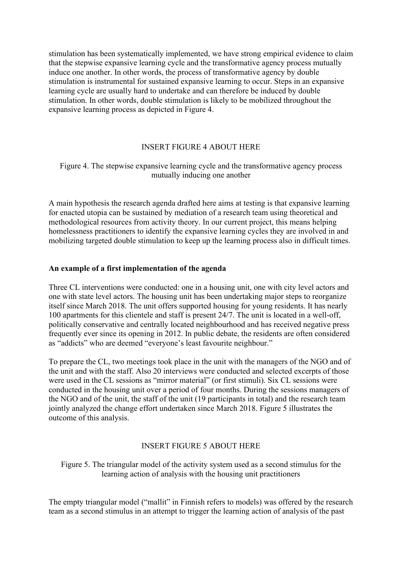stimulation has been systematically implemented, we have strong empirical evidence to claim that the stepwise expansive learning cycle and the transformative agency process mutually induce one another. In other words, the process of transformative agency by double stimulation is instrumental for sustained expansive learning to occur. Steps in an expansive learning cycle are usually hard to undertake and can therefore be induced by double stimulation. In other words, double stimulation is likely to be mobilized throughout the expansive learning process as depicted in Figure 4.

# INSERT FIGURE 4 ABOUT HERE

## Figure 4. The stepwise expansive learning cycle and the transformative agency process mutually inducing one another

A main hypothesis the research agenda drafted here aims at testing is that expansive learning for enacted utopia can be sustained by mediation of a research team using theoretical and methodological resources from activity theory. In our current project, this means helping homelessness practitioners to identify the expansive learning cycles they are involved in and mobilizing targeted double stimulation to keep up the learning process also in difficult times.

#### **An example of a first implementation of the agenda**

Three CL interventions were conducted: one in a housing unit, one with city level actors and one with state level actors. The housing unit has been undertaking major steps to reorganize itself since March 2018. The unit offers supported housing for young residents. It has nearly 100 apartments for this clientele and staff is present 24/7. The unit is located in a well-off, politically conservative and centrally located neighbourhood and has received negative press frequently ever since its opening in 2012. In public debate, the residents are often considered as "addicts" who are deemed "everyone's least favourite neighbour."

To prepare the CL, two meetings took place in the unit with the managers of the NGO and of the unit and with the staff. Also 20 interviews were conducted and selected excerpts of those were used in the CL sessions as "mirror material" (or first stimuli). Six CL sessions were conducted in the housing unit over a period of four months. During the sessions managers of the NGO and of the unit, the staff of the unit (19 participants in total) and the research team jointly analyzed the change effort undertaken since March 2018. Figure 5 illustrates the outcome of this analysis.

#### INSERT FIGURE 5 ABOUT HERE

Figure 5. The triangular model of the activity system used as a second stimulus for the learning action of analysis with the housing unit practitioners

The empty triangular model ("mallit" in Finnish refers to models) was offered by the research team as a second stimulus in an attempt to trigger the learning action of analysis of the past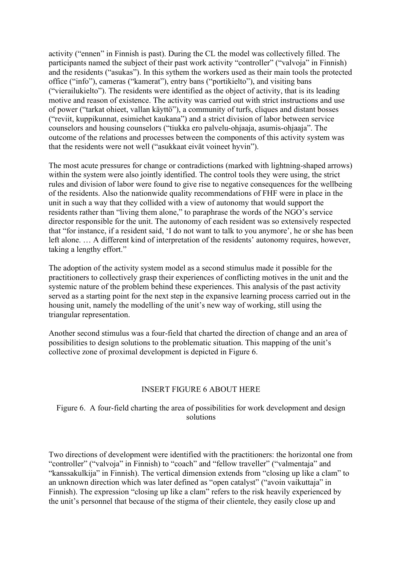activity ("ennen" in Finnish is past). During the CL the model was collectively filled. The participants named the subject of their past work activity "controller" ("valvoja" in Finnish) and the residents ("asukas"). In this sythem the workers used as their main tools the protected office ("info"), cameras ("kamerat"), entry bans ("portikielto"), and visiting bans ("vierailukielto"). The residents were identified as the object of activity, that is its leading motive and reason of existence. The activity was carried out with strict instructions and use of power ("tarkat ohieet, vallan käyttö"), a community of turfs, cliques and distant bosses ("reviit, kuppikunnat, esimiehet kaukana") and a strict division of labor between service counselors and housing counselors ("tiukka ero palvelu-ohjaaja, asumis-ohjaaja". The outcome of the relations and processes between the components of this activity system was that the residents were not well ("asukkaat eivät voineet hyvin").

The most acute pressures for change or contradictions (marked with lightning-shaped arrows) within the system were also jointly identified. The control tools they were using, the strict rules and division of labor were found to give rise to negative consequences for the wellbeing of the residents. Also the nationwide quality recommendations of FHF were in place in the unit in such a way that they collided with a view of autonomy that would support the residents rather than "living them alone," to paraphrase the words of the NGO's service director responsible for the unit. The autonomy of each resident was so extensively respected that "for instance, if a resident said, 'I do not want to talk to you anymore', he or she has been left alone. … A different kind of interpretation of the residents' autonomy requires, however, taking a lengthy effort."

The adoption of the activity system model as a second stimulus made it possible for the practitioners to collectively grasp their experiences of conflicting motives in the unit and the systemic nature of the problem behind these experiences. This analysis of the past activity served as a starting point for the next step in the expansive learning process carried out in the housing unit, namely the modelling of the unit's new way of working, still using the triangular representation.

Another second stimulus was a four-field that charted the direction of change and an area of possibilities to design solutions to the problematic situation. This mapping of the unit's collective zone of proximal development is depicted in Figure 6.

## INSERT FIGURE 6 ABOUT HERE

# Figure 6. A four-field charting the area of possibilities for work development and design solutions

Two directions of development were identified with the practitioners: the horizontal one from "controller" ("valvoja" in Finnish) to "coach" and "fellow traveller" ("valmentaja" and "kanssakulkija" in Finnish). The vertical dimension extends from "closing up like a clam" to an unknown direction which was later defined as "open catalyst" ("avoin vaikuttaja" in Finnish). The expression "closing up like a clam" refers to the risk heavily experienced by the unit's personnel that because of the stigma of their clientele, they easily close up and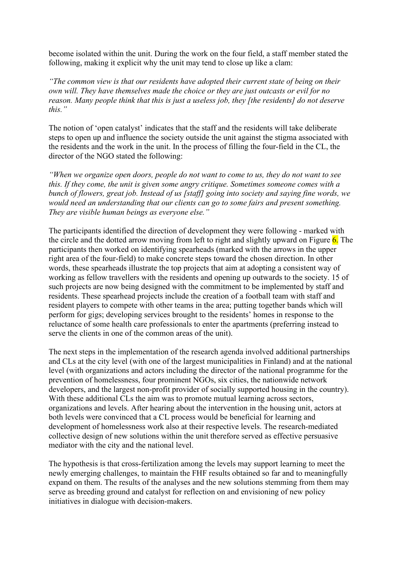become isolated within the unit. During the work on the four field, a staff member stated the following, making it explicit why the unit may tend to close up like a clam:

*"The common view is that our residents have adopted their current state of being on their own will. They have themselves made the choice or they are just outcasts or evil for no reason. Many people think that this is just a useless job, they [the residents] do not deserve this."* 

The notion of 'open catalyst' indicates that the staff and the residents will take deliberate steps to open up and influence the society outside the unit against the stigma associated with the residents and the work in the unit. In the process of filling the four-field in the CL, the director of the NGO stated the following:

*"When we organize open doors, people do not want to come to us, they do not want to see this. If they come, the unit is given some angry critique. Sometimes someone comes with a bunch of flowers, great job. Instead of us [staff] going into society and saying fine words, we would need an understanding that our clients can go to some fairs and present something. They are visible human beings as everyone else."*

The participants identified the direction of development they were following - marked with the circle and the dotted arrow moving from left to right and slightly upward on Figure  $6$ . The participants then worked on identifying spearheads (marked with the arrows in the upper right area of the four-field) to make concrete steps toward the chosen direction. In other words, these spearheads illustrate the top projects that aim at adopting a consistent way of working as fellow travellers with the residents and opening up outwards to the society. 15 of such projects are now being designed with the commitment to be implemented by staff and residents. These spearhead projects include the creation of a football team with staff and resident players to compete with other teams in the area; putting together bands which will perform for gigs; developing services brought to the residents' homes in response to the reluctance of some health care professionals to enter the apartments (preferring instead to serve the clients in one of the common areas of the unit).

The next steps in the implementation of the research agenda involved additional partnerships and CLs at the city level (with one of the largest municipalities in Finland) and at the national level (with organizations and actors including the director of the national programme for the prevention of homelessness, four prominent NGOs, six cities, the nationwide network developers, and the largest non-profit provider of socially supported housing in the country). With these additional CLs the aim was to promote mutual learning across sectors, organizations and levels. After hearing about the intervention in the housing unit, actors at both levels were convinced that a CL process would be beneficial for learning and development of homelessness work also at their respective levels. The research-mediated collective design of new solutions within the unit therefore served as effective persuasive mediator with the city and the national level.

The hypothesis is that cross-fertilization among the levels may support learning to meet the newly emerging challenges, to maintain the FHF results obtained so far and to meaningfully expand on them. The results of the analyses and the new solutions stemming from them may serve as breeding ground and catalyst for reflection on and envisioning of new policy initiatives in dialogue with decision-makers.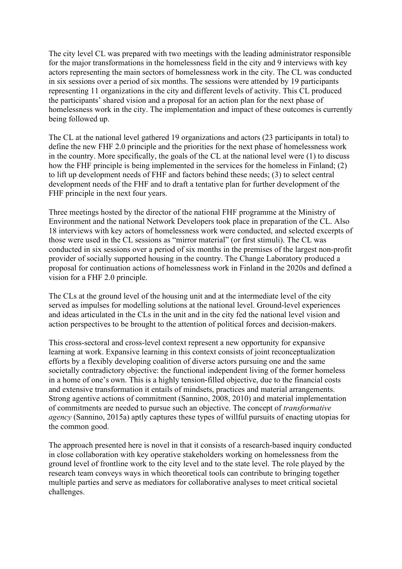The city level CL was prepared with two meetings with the leading administrator responsible for the major transformations in the homelessness field in the city and 9 interviews with key actors representing the main sectors of homelessness work in the city. The CL was conducted in six sessions over a period of six months. The sessions were attended by 19 participants representing 11 organizations in the city and different levels of activity. This CL produced the participants' shared vision and a proposal for an action plan for the next phase of homelessness work in the city. The implementation and impact of these outcomes is currently being followed up.

The CL at the national level gathered 19 organizations and actors (23 participants in total) to define the new FHF 2.0 principle and the priorities for the next phase of homelessness work in the country. More specifically, the goals of the CL at the national level were (1) to discuss how the FHF principle is being implemented in the services for the homeless in Finland; (2) to lift up development needs of FHF and factors behind these needs; (3) to select central development needs of the FHF and to draft a tentative plan for further development of the FHF principle in the next four years.

Three meetings hosted by the director of the national FHF programme at the Ministry of Environment and the national Network Developers took place in preparation of the CL. Also 18 interviews with key actors of homelessness work were conducted, and selected excerpts of those were used in the CL sessions as "mirror material" (or first stimuli). The CL was conducted in six sessions over a period of six months in the premises of the largest non-profit provider of socially supported housing in the country. The Change Laboratory produced a proposal for continuation actions of homelessness work in Finland in the 2020s and defined a vision for a FHF 2.0 principle.

The CLs at the ground level of the housing unit and at the intermediate level of the city served as impulses for modelling solutions at the national level. Ground-level experiences and ideas articulated in the CLs in the unit and in the city fed the national level vision and action perspectives to be brought to the attention of political forces and decision-makers.

This cross-sectoral and cross-level context represent a new opportunity for expansive learning at work. Expansive learning in this context consists of joint reconceptualization efforts by a flexibly developing coalition of diverse actors pursuing one and the same societally contradictory objective: the functional independent living of the former homeless in a home of one's own. This is a highly tension-filled objective, due to the financial costs and extensive transformation it entails of mindsets, practices and material arrangements. Strong agentive actions of commitment (Sannino, 2008, 2010) and material implementation of commitments are needed to pursue such an objective. The concept of *transformative agency* (Sannino, 2015a) aptly captures these types of willful pursuits of enacting utopias for the common good.

The approach presented here is novel in that it consists of a research-based inquiry conducted in close collaboration with key operative stakeholders working on homelessness from the ground level of frontline work to the city level and to the state level. The role played by the research team conveys ways in which theoretical tools can contribute to bringing together multiple parties and serve as mediators for collaborative analyses to meet critical societal challenges.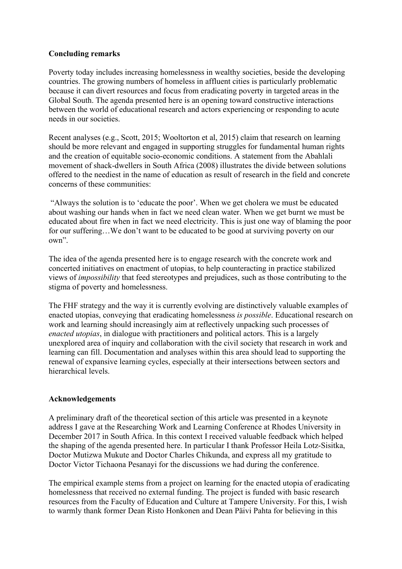# **Concluding remarks**

Poverty today includes increasing homelessness in wealthy societies, beside the developing countries. The growing numbers of homeless in affluent cities is particularly problematic because it can divert resources and focus from eradicating poverty in targeted areas in the Global South. The agenda presented here is an opening toward constructive interactions between the world of educational research and actors experiencing or responding to acute needs in our societies.

Recent analyses (e.g., Scott, 2015; Wooltorton et al, 2015) claim that research on learning should be more relevant and engaged in supporting struggles for fundamental human rights and the creation of equitable socio-economic conditions. A statement from the Abahlali movement of shack-dwellers in South Africa (2008) illustrates the divide between solutions offered to the neediest in the name of education as result of research in the field and concrete concerns of these communities:

"Always the solution is to 'educate the poor'. When we get cholera we must be educated about washing our hands when in fact we need clean water. When we get burnt we must be educated about fire when in fact we need electricity. This is just one way of blaming the poor for our suffering…We don't want to be educated to be good at surviving poverty on our own".

The idea of the agenda presented here is to engage research with the concrete work and concerted initiatives on enactment of utopias, to help counteracting in practice stabilized views of *impossibility* that feed stereotypes and prejudices, such as those contributing to the stigma of poverty and homelessness.

The FHF strategy and the way it is currently evolving are distinctively valuable examples of enacted utopias, conveying that eradicating homelessness *is possible*. Educational research on work and learning should increasingly aim at reflectively unpacking such processes of *enacted utopias*, in dialogue with practitioners and political actors. This is a largely unexplored area of inquiry and collaboration with the civil society that research in work and learning can fill. Documentation and analyses within this area should lead to supporting the renewal of expansive learning cycles, especially at their intersections between sectors and hierarchical levels.

## **Acknowledgements**

A preliminary draft of the theoretical section of this article was presented in a keynote address I gave at the Researching Work and Learning Conference at Rhodes University in December 2017 in South Africa. In this context I received valuable feedback which helped the shaping of the agenda presented here. In particular I thank Professor Heila Lotz-Sisitka, Doctor Mutizwa Mukute and Doctor Charles Chikunda, and express all my gratitude to Doctor Victor Tichaona Pesanayi for the discussions we had during the conference.

The empirical example stems from a project on learning for the enacted utopia of eradicating homelessness that received no external funding. The project is funded with basic research resources from the Faculty of Education and Culture at Tampere University. For this, I wish to warmly thank former Dean Risto Honkonen and Dean Päivi Pahta for believing in this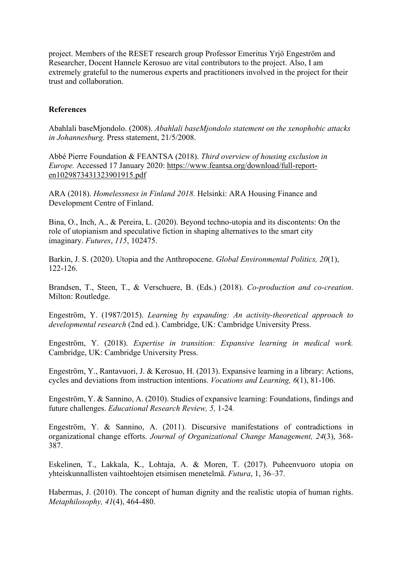project. Members of the RESET research group Professor Emeritus Yrjö Engeström and Researcher, Docent Hannele Kerosuo are vital contributors to the project. Also, I am extremely grateful to the numerous experts and practitioners involved in the project for their trust and collaboration.

## **References**

Abahlali baseMjondolo. (2008). *Abahlali baseMjondolo statement on the xenophobic attacks in Johannesburg.* Press statement, 21/5/2008.

Abbé Pierre Foundation & FEANTSA (2018). *Third overview of housing exclusion in Europe.* Accessed 17 January 2020: [https://www.feantsa.org/download/full-report](https://www.feantsa.org/download/full-report-en1029873431323901915.pdf)[en1029873431323901915.pdf](https://www.feantsa.org/download/full-report-en1029873431323901915.pdf)

ARA (2018). *Homelessness in Finland 2018.* Helsinki: ARA Housing Finance and Development Centre of Finland.

Bina, O., Inch, A., & Pereira, L. (2020). Beyond techno-utopia and its discontents: On the role of utopianism and speculative fiction in shaping alternatives to the smart city imaginary. *Futures*, *115*, 102475.

Barkin, J. S. (2020). Utopia and the Anthropocene. *Global Environmental Politics, 20*(1), 122-126.

Brandsen, T., Steen, T., & Verschuere, B. (Eds.) (2018). *Co-production and co-creation*. Milton: Routledge.

Engeström, Y. (1987/2015). *Learning by expanding: An activity-theoretical approach to developmental research* (2nd ed.). Cambridge, UK: Cambridge University Press.

Engeström, Y. (2018). *Expertise in transition: Expansive learning in medical work.* Cambridge, UK: Cambridge University Press.

Engeström, Y., Rantavuori, J. & Kerosuo, H. (2013). Expansive learning in a library: Actions, cycles and deviations from instruction intentions. *Vocations and Learning, 6*(1), 81-106.

Engeström, Y. & Sannino, A. (2010). Studies of expansive learning: Foundations, findings and future challenges. *Educational Research Review, 5,* 1-24*.*

Engeström, Y. & Sannino, A. (2011). Discursive manifestations of contradictions in organizational change efforts. *Journal of Organizational Change Management, 24*(3), 368- 387.

Eskelinen, T., Lakkala, K., Lohtaja, A. & Moren, T. (2017). Puheenvuoro utopia on yhteiskunnallisten vaihtoehtojen etsimisen menetelmä. *Futura*, 1, 36–37.

Habermas, J. (2010). The concept of human dignity and the realistic utopia of human rights. *Metaphilosophy, 41*(4), 464-480.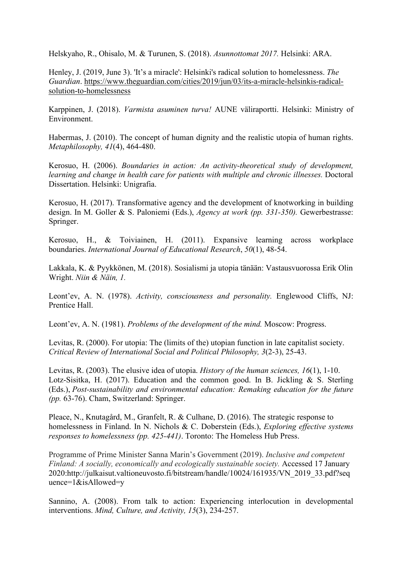Helskyaho, R., Ohisalo, M. & Turunen, S. (2018). *Asunnottomat 2017.* Helsinki: ARA.

Henley, J. (2019, June 3). 'It's a miracle': Helsinki's radical solution to homelessness. *The Guardian*. [https://www.theguardian.com/cities/2019/jun/03/its-a-miracle-helsinkis-radical](https://www.theguardian.com/cities/2019/jun/03/its-a-miracle-helsinkis-radical-solution-to-homelessness)[solution-to-homelessness](https://www.theguardian.com/cities/2019/jun/03/its-a-miracle-helsinkis-radical-solution-to-homelessness)

Karppinen, J. (2018). *Varmista asuminen turva!* AUNE väliraportti. Helsinki: Ministry of Environment.

Habermas, J. (2010). The concept of human dignity and the realistic utopia of human rights. *Metaphilosophy, 41*(4), 464-480.

Kerosuo, H. (2006). *Boundaries in action: An activity-theoretical study of development, learning and change in health care for patients with multiple and chronic illnesses.* Doctoral Dissertation. Helsinki: Unigrafia.

Kerosuo, H. (2017). Transformative agency and the development of knotworking in building design. In M. Goller & S. Paloniemi (Eds.), *Agency at work (pp. 331-350).* Gewerbestrasse: Springer.

Kerosuo, H., & Toiviainen, H. (2011). Expansive learning across workplace boundaries. *International Journal of Educational Research*, *50*(1), 48-54.

Lakkala, K. & Pyykkönen, M. (2018). Sosialismi ja utopia tänään: Vastausvuorossa Erik Olin Wright. *Niin & Näin, 1.*

Leont'ev, A. N. (1978). *Activity, consciousness and personality.* Englewood Cliffs, NJ: Prentice Hall.

Leont'ev, A. N. (1981). *Problems of the development of the mind.* Moscow: Progress.

Levitas, R. (2000). For utopia: The (limits of the) utopian function in late capitalist society. *Critical Review of International Social and Political Philosophy, 3*(2-3), 25-43.

Levitas, R. (2003). The elusive idea of utopia. *History of the human sciences, 16*(1), 1-10. Lotz-Sisitka, H. (2017). Education and the common good. In B. Jickling & S. Sterling (Eds.), *Post-sustainability and environmental education: Remaking education for the future (pp.* 63-76). Cham, Switzerland: Springer.

Pleace, N., Knutagård, M., Granfelt, R. & Culhane, D. (2016). The strategic response to homelessness in Finland. In N. Nichols & C. Doberstein (Eds.), *Exploring effective systems responses to homelessness (pp. 425-441)*. Toronto: The Homeless Hub Press.

Programme of Prime Minister Sanna Marin's Government (2019). *Inclusive and competent Finland: A socially, economically and ecologically sustainable society.* Accessed 17 January 2020:http://julkaisut.valtioneuvosto.fi/bitstream/handle/10024/161935/VN\_2019\_33.pdf?seq uence=1&isAllowed=y

Sannino, A. (2008). From talk to action: Experiencing interlocution in developmental interventions. *Mind, Culture, and Activity, 15*(3), 234-257.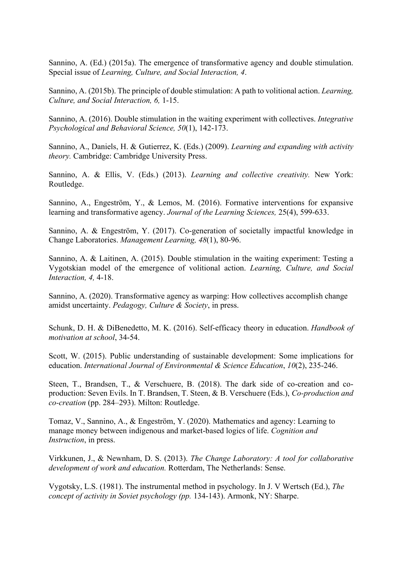Sannino, A. (Ed.) (2015a). The emergence of transformative agency and double stimulation. Special issue of *Learning, Culture, and Social Interaction, 4*.

Sannino, A. (2015b). The principle of double stimulation: A path to volitional action. *Learning, Culture, and Social Interaction, 6,* 1-15.

Sannino, A. (2016). Double stimulation in the waiting experiment with collectives. *Integrative Psychological and Behavioral Science, 50*(1), 142-173.

Sannino, A., Daniels, H. & Gutierrez, K. (Eds.) (2009). *Learning and expanding with activity theory.* Cambridge: Cambridge University Press.

Sannino, A. & Ellis, V. (Eds.) (2013). *Learning and collective creativity.* New York: Routledge.

Sannino, A., Engeström, Y., & Lemos, M. (2016). Formative interventions for expansive learning and transformative agency. *Journal of the Learning Sciences,* 25(4), 599-633.

Sannino, A. & Engeström, Y. (2017). Co-generation of societally impactful knowledge in Change Laboratories. *Management Learning, 48*(1), 80-96.

Sannino, A. & Laitinen, A. (2015). Double stimulation in the waiting experiment: Testing a Vygotskian model of the emergence of volitional action. *Learning, Culture, and Social Interaction, 4,* 4-18.

Sannino, A. (2020). Transformative agency as warping: How collectives accomplish change amidst uncertainty. *Pedagogy, Culture & Society*, in press.

Schunk, D. H. & DiBenedetto, M. K. (2016). Self-efficacy theory in education. *Handbook of motivation at school*, 34-54.

Scott, W. (2015). Public understanding of sustainable development: Some implications for education. *International Journal of Environmental & Science Education*, *10*(2), 235-246.

Steen, T., Brandsen, T., & Verschuere, B. (2018). The dark side of co-creation and coproduction: Seven Evils. In T. Brandsen, T. Steen, & B. Verschuere (Eds.), *Co-production and co-creation* (pp. 284–293). Milton: Routledge.

Tomaz, V., Sannino, A., & Engeström, Y. (2020). Mathematics and agency: Learning to manage money between indigenous and market-based logics of life. *Cognition and Instruction*, in press.

Virkkunen, J., & Newnham, D. S. (2013). *The Change Laboratory: A tool for collaborative development of work and education.* Rotterdam, The Netherlands: Sense.

Vygotsky, L.S. (1981). The instrumental method in psychology. In J. V Wertsch (Ed.), *The concept of activity in Soviet psychology (pp.* 134-143). Armonk, NY: Sharpe.